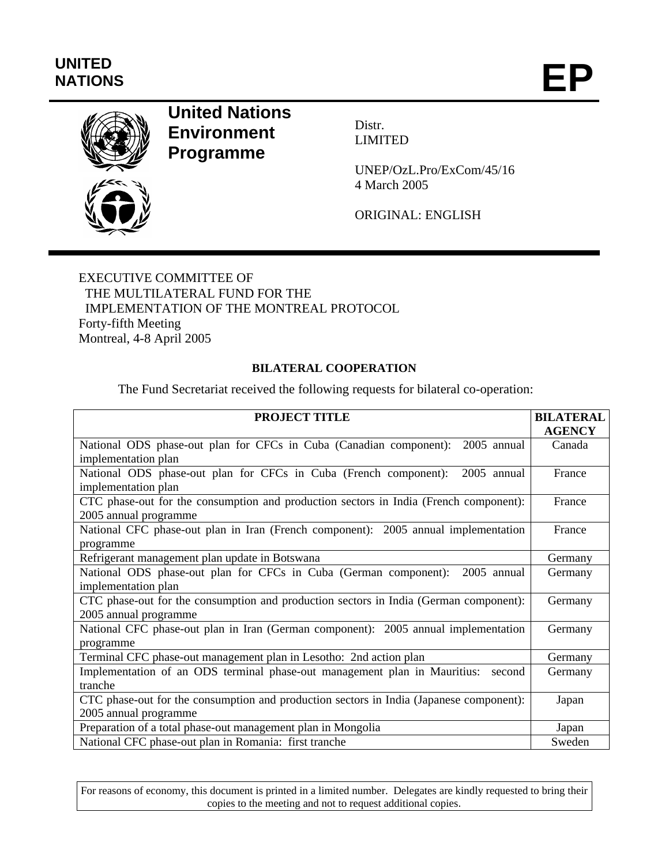# **UNITED<br>NATIONS** UNITED<br>NATIONS **EP**



## **United Nations Environment Programme**

Distr. LIMITED

UNEP/OzL.Pro/ExCom/45/16 4 March 2005

ORIGINAL: ENGLISH

EXECUTIVE COMMITTEE OF THE MULTILATERAL FUND FOR THE IMPLEMENTATION OF THE MONTREAL PROTOCOL Forty-fifth Meeting Montreal, 4-8 April 2005

#### **BILATERAL COOPERATION**

The Fund Secretariat received the following requests for bilateral co-operation:

| <b>PROJECT TITLE</b>                                                                    | <b>BILATERAL</b> |
|-----------------------------------------------------------------------------------------|------------------|
|                                                                                         | <b>AGENCY</b>    |
| National ODS phase-out plan for CFCs in Cuba (Canadian component): 2005 annual          | Canada           |
| implementation plan                                                                     |                  |
| National ODS phase-out plan for CFCs in Cuba (French component):<br>2005 annual         | France           |
| implementation plan                                                                     |                  |
| CTC phase-out for the consumption and production sectors in India (French component):   | France           |
| 2005 annual programme                                                                   |                  |
| National CFC phase-out plan in Iran (French component): 2005 annual implementation      | France           |
| programme                                                                               |                  |
| Refrigerant management plan update in Botswana                                          | Germany          |
| National ODS phase-out plan for CFCs in Cuba (German component): 2005 annual            | Germany          |
| implementation plan                                                                     |                  |
| CTC phase-out for the consumption and production sectors in India (German component):   | Germany          |
| 2005 annual programme                                                                   |                  |
| National CFC phase-out plan in Iran (German component): 2005 annual implementation      | Germany          |
| programme                                                                               |                  |
| Terminal CFC phase-out management plan in Lesotho: 2nd action plan                      | Germany          |
| Implementation of an ODS terminal phase-out management plan in Mauritius:<br>second     | Germany          |
| tranche                                                                                 |                  |
| CTC phase-out for the consumption and production sectors in India (Japanese component): | Japan            |
| 2005 annual programme                                                                   |                  |
| Preparation of a total phase-out management plan in Mongolia                            | Japan            |
| National CFC phase-out plan in Romania: first tranche                                   | Sweden           |

For reasons of economy, this document is printed in a limited number. Delegates are kindly requested to bring their copies to the meeting and not to request additional copies.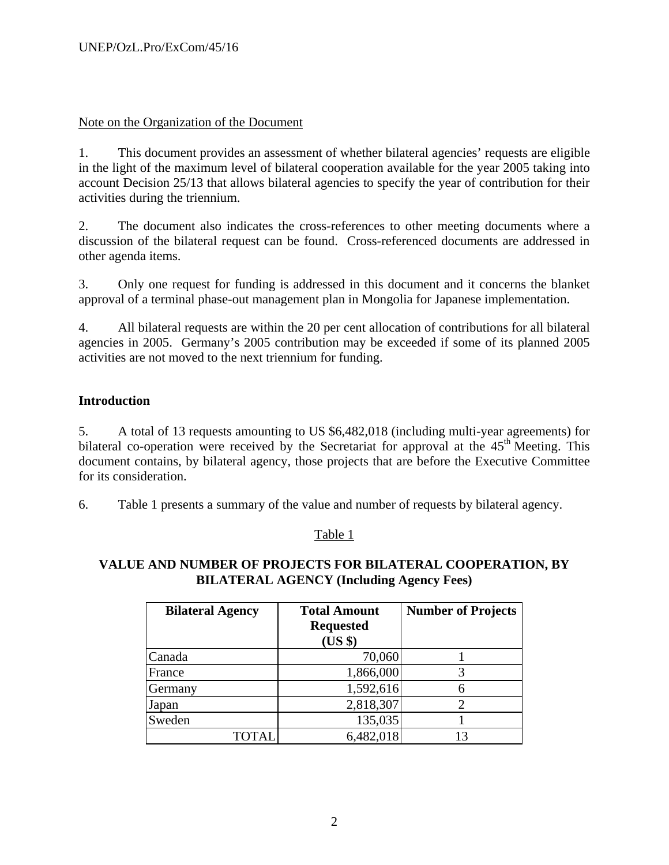## Note on the Organization of the Document

1. This document provides an assessment of whether bilateral agencies' requests are eligible in the light of the maximum level of bilateral cooperation available for the year 2005 taking into account Decision 25/13 that allows bilateral agencies to specify the year of contribution for their activities during the triennium.

2. The document also indicates the cross-references to other meeting documents where a discussion of the bilateral request can be found. Cross-referenced documents are addressed in other agenda items.

3. Only one request for funding is addressed in this document and it concerns the blanket approval of a terminal phase-out management plan in Mongolia for Japanese implementation.

4. All bilateral requests are within the 20 per cent allocation of contributions for all bilateral agencies in 2005. Germany's 2005 contribution may be exceeded if some of its planned 2005 activities are not moved to the next triennium for funding.

## **Introduction**

5. A total of 13 requests amounting to US \$6,482,018 (including multi-year agreements) for bilateral co-operation were received by the Secretariat for approval at the  $45<sup>th</sup>$  Meeting. This document contains, by bilateral agency, those projects that are before the Executive Committee for its consideration.

6. Table 1 presents a summary of the value and number of requests by bilateral agency.

## Table 1

## **VALUE AND NUMBER OF PROJECTS FOR BILATERAL COOPERATION, BY BILATERAL AGENCY (Including Agency Fees)**

| <b>Bilateral Agency</b> | <b>Total Amount</b><br><b>Requested</b><br>(US \$) | <b>Number of Projects</b> |
|-------------------------|----------------------------------------------------|---------------------------|
| Canada                  | 70,060                                             |                           |
| France                  | 1,866,000                                          |                           |
| Germany                 | 1,592,616                                          |                           |
| Japan                   | 2,818,307                                          |                           |
| Sweden                  | 135,035                                            |                           |
|                         | 6,482,018                                          |                           |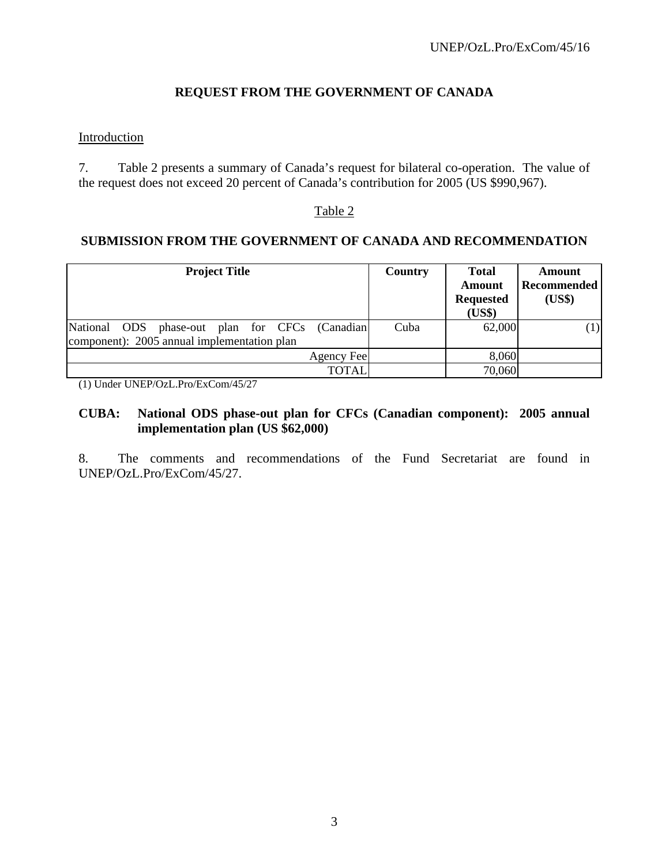## **REQUEST FROM THE GOVERNMENT OF CANADA**

## Introduction

7. Table 2 presents a summary of Canada's request for bilateral co-operation. The value of the request does not exceed 20 percent of Canada's contribution for 2005 (US \$990,967).

#### Table 2

#### **SUBMISSION FROM THE GOVERNMENT OF CANADA AND RECOMMENDATION**

| <b>Project Title</b>                                                                           | <b>Country</b> | <b>Total</b><br>Amount<br><b>Requested</b><br>(US\$) | Amount<br><b>Recommended</b><br>(US\$) |
|------------------------------------------------------------------------------------------------|----------------|------------------------------------------------------|----------------------------------------|
| National ODS phase-out plan for CFCs (Canadian)<br>component): 2005 annual implementation plan | Cuba           | 62,000                                               | (1)                                    |
|                                                                                                |                |                                                      |                                        |
| Agency Fee                                                                                     |                | 8,060                                                |                                        |
| <b>TOTAL</b>                                                                                   |                | 70,060                                               |                                        |

(1) Under UNEP/OzL.Pro/ExCom/45/27

## **CUBA: National ODS phase-out plan for CFCs (Canadian component): 2005 annual implementation plan (US \$62,000)**

8. The comments and recommendations of the Fund Secretariat are found in UNEP/OzL.Pro/ExCom/45/27.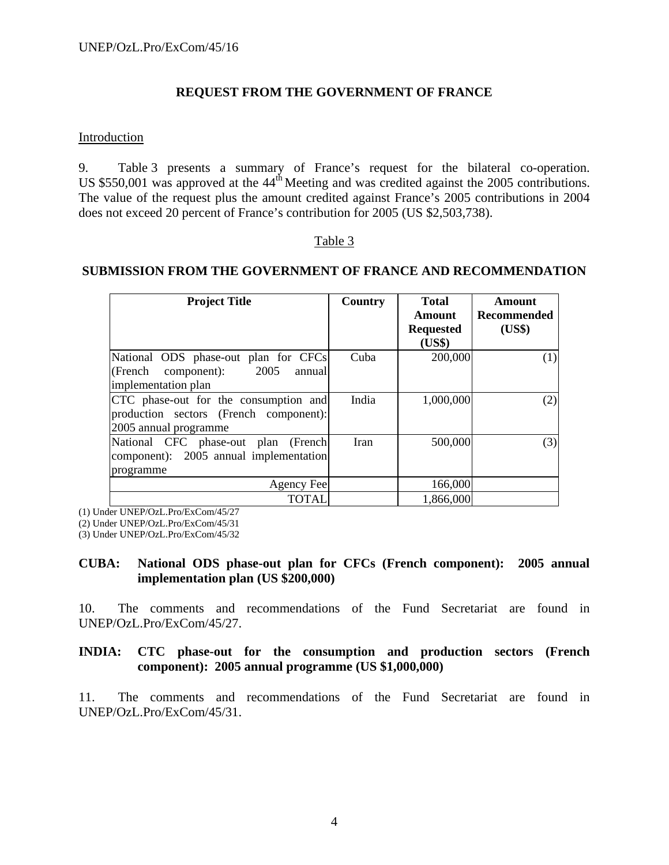## **REQUEST FROM THE GOVERNMENT OF FRANCE**

#### Introduction

9. Table 3 presents a summary of France's request for the bilateral co-operation. US \$550,001 was approved at the  $44^{\text{th}}$  Meeting and was credited against the 2005 contributions. The value of the request plus the amount credited against France's 2005 contributions in 2004 does not exceed 20 percent of France's contribution for 2005 (US \$2,503,738).

#### Table 3

#### **SUBMISSION FROM THE GOVERNMENT OF FRANCE AND RECOMMENDATION**

| <b>Project Title</b>                                                                                     | Country | <b>Total</b><br><b>Amount</b><br><b>Requested</b><br>(US\$) | <b>Amount</b><br>Recommended<br>(US\$) |
|----------------------------------------------------------------------------------------------------------|---------|-------------------------------------------------------------|----------------------------------------|
| National ODS phase-out plan for CFCs<br>2005<br>(French component):<br>annual<br>implementation plan     | Cuba    | 200,000                                                     | (1)                                    |
| CTC phase-out for the consumption and<br>production sectors (French component):<br>2005 annual programme | India   | 1,000,000                                                   | (2)                                    |
| National CFC phase-out plan (French)<br>component): 2005 annual implementation<br>programme              | Iran    | 500,000                                                     | (3)                                    |
| Agency Fee                                                                                               |         | 166,000                                                     |                                        |
| <b>TOTAL</b>                                                                                             |         | 1,866,000                                                   |                                        |

(1) Under UNEP/OzL.Pro/ExCom/45/27

(2) Under UNEP/OzL.Pro/ExCom/45/31

(3) Under UNEP/OzL.Pro/ExCom/45/32

#### **CUBA: National ODS phase-out plan for CFCs (French component): 2005 annual implementation plan (US \$200,000)**

10. The comments and recommendations of the Fund Secretariat are found in UNEP/OzL.Pro/ExCom/45/27.

#### **INDIA: CTC phase-out for the consumption and production sectors (French component): 2005 annual programme (US \$1,000,000)**

11. The comments and recommendations of the Fund Secretariat are found in UNEP/OzL.Pro/ExCom/45/31.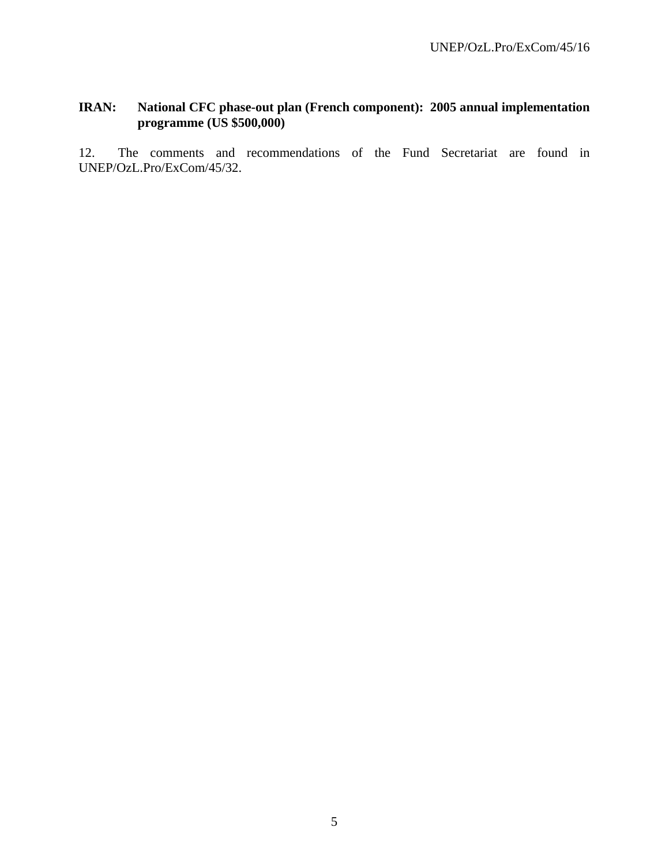## **IRAN: National CFC phase-out plan (French component): 2005 annual implementation programme (US \$500,000)**

12. The comments and recommendations of the Fund Secretariat are found in UNEP/OzL.Pro/ExCom/45/32.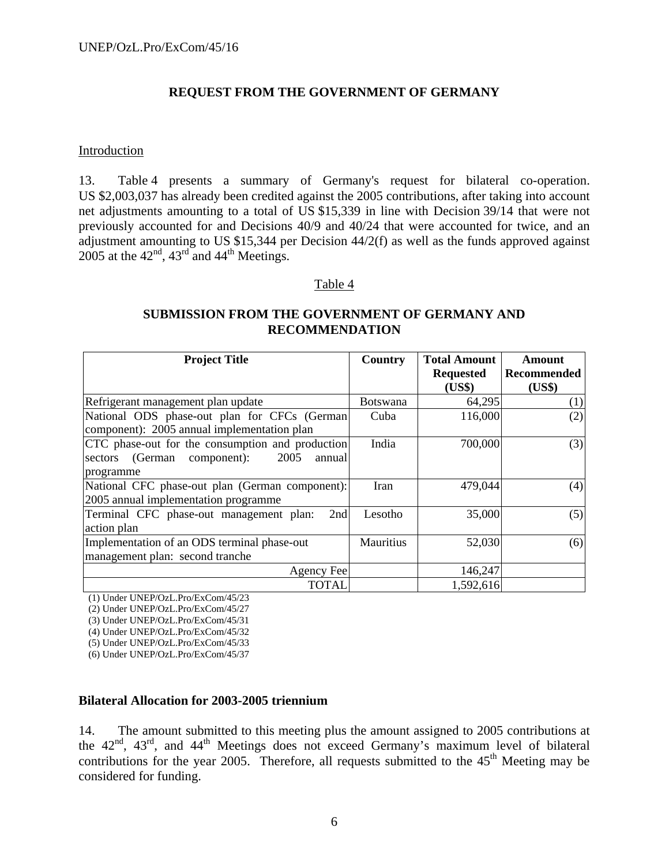## **REQUEST FROM THE GOVERNMENT OF GERMANY**

#### Introduction

13. Table 4 presents a summary of Germany's request for bilateral co-operation. US \$2,003,037 has already been credited against the 2005 contributions, after taking into account net adjustments amounting to a total of US \$15,339 in line with Decision 39/14 that were not previously accounted for and Decisions 40/9 and 40/24 that were accounted for twice, and an adjustment amounting to US \$15,344 per Decision 44/2(f) as well as the funds approved against 2005 at the  $42<sup>nd</sup>$ ,  $43<sup>rd</sup>$  and  $44<sup>th</sup>$  Meetings.

#### Table 4

## **SUBMISSION FROM THE GOVERNMENT OF GERMANY AND RECOMMENDATION**

| <b>Project Title</b>                             | Country          | <b>Total Amount</b><br><b>Requested</b> | Amount<br>Recommended |
|--------------------------------------------------|------------------|-----------------------------------------|-----------------------|
|                                                  |                  | (US\$)                                  | (US\$)                |
| Refrigerant management plan update               | Botswana         | 64,295                                  | (1)                   |
| National ODS phase-out plan for CFCs (German)    | Cuba             | 116,000                                 | (2)                   |
| component): 2005 annual implementation plan      |                  |                                         |                       |
| CTC phase-out for the consumption and production | India            | 700,000                                 | (3)                   |
| sectors (German component):<br>2005<br>annual    |                  |                                         |                       |
| programme                                        |                  |                                         |                       |
| National CFC phase-out plan (German component):  | Iran             | 479,044                                 | (4)                   |
| 2005 annual implementation programme             |                  |                                         |                       |
| Terminal CFC phase-out management plan:<br>2nd   | Lesotho          | 35,000                                  | (5)                   |
| action plan                                      |                  |                                         |                       |
| Implementation of an ODS terminal phase-out      | <b>Mauritius</b> | 52,030                                  | (6)                   |
| management plan: second tranche                  |                  |                                         |                       |
| Agency Fee                                       |                  | 146,247                                 |                       |
| <b>TOTAL</b>                                     |                  | 1,592,616                               |                       |

(1) Under UNEP/OzL.Pro/ExCom/45/23

(2) Under UNEP/OzL.Pro/ExCom/45/27

(3) Under UNEP/OzL.Pro/ExCom/45/31

(4) Under UNEP/OzL.Pro/ExCom/45/32

(5) Under UNEP/OzL.Pro/ExCom/45/33

(6) Under UNEP/OzL.Pro/ExCom/45/37

#### **Bilateral Allocation for 2003-2005 triennium**

14. The amount submitted to this meeting plus the amount assigned to 2005 contributions at the  $42<sup>nd</sup>$ ,  $43<sup>rd</sup>$ , and  $44<sup>th</sup>$  Meetings does not exceed Germany's maximum level of bilateral contributions for the year 2005. Therefore, all requests submitted to the  $45<sup>th</sup>$  Meeting may be considered for funding.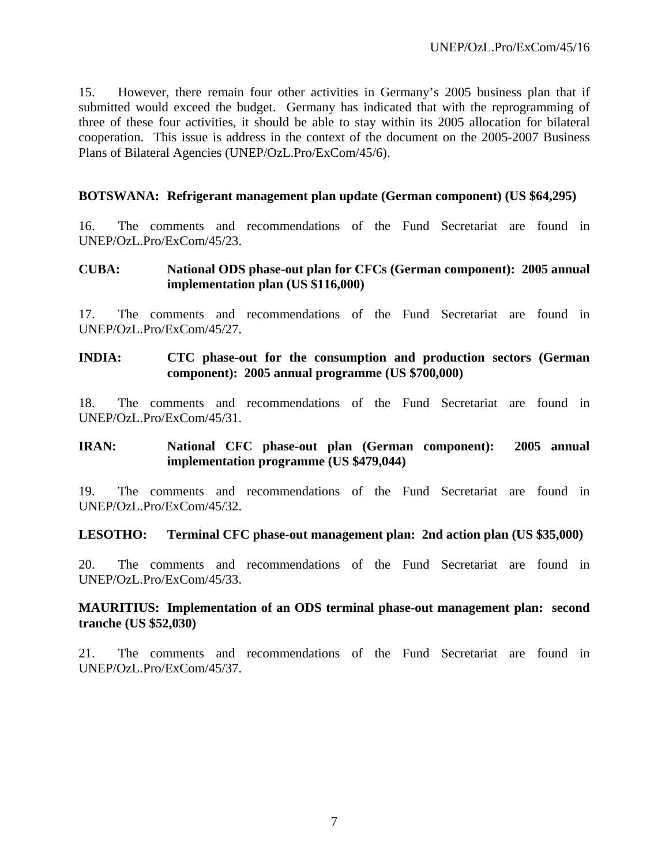15. However, there remain four other activities in Germany's 2005 business plan that if submitted would exceed the budget. Germany has indicated that with the reprogramming of three of these four activities, it should be able to stay within its 2005 allocation for bilateral cooperation. This issue is address in the context of the document on the 2005-2007 Business Plans of Bilateral Agencies (UNEP/OzL.Pro/ExCom/45/6).

## **BOTSWANA: Refrigerant management plan update (German component) (US \$64,295)**

16. The comments and recommendations of the Fund Secretariat are found in UNEP/OzL.Pro/ExCom/45/23.

#### **CUBA: National ODS phase-out plan for CFCs (German component): 2005 annual implementation plan (US \$116,000)**

17. The comments and recommendations of the Fund Secretariat are found in UNEP/OzL.Pro/ExCom/45/27.

## **INDIA: CTC phase-out for the consumption and production sectors (German component): 2005 annual programme (US \$700,000)**

18. The comments and recommendations of the Fund Secretariat are found in UNEP/OzL.Pro/ExCom/45/31.

## **IRAN: National CFC phase-out plan (German component): 2005 annual implementation programme (US \$479,044)**

19. The comments and recommendations of the Fund Secretariat are found in UNEP/OzL.Pro/ExCom/45/32.

#### **LESOTHO: Terminal CFC phase-out management plan: 2nd action plan (US \$35,000)**

20. The comments and recommendations of the Fund Secretariat are found in UNEP/OzL.Pro/ExCom/45/33.

#### **MAURITIUS: Implementation of an ODS terminal phase-out management plan: second tranche (US \$52,030)**

21. The comments and recommendations of the Fund Secretariat are found in UNEP/OzL.Pro/ExCom/45/37.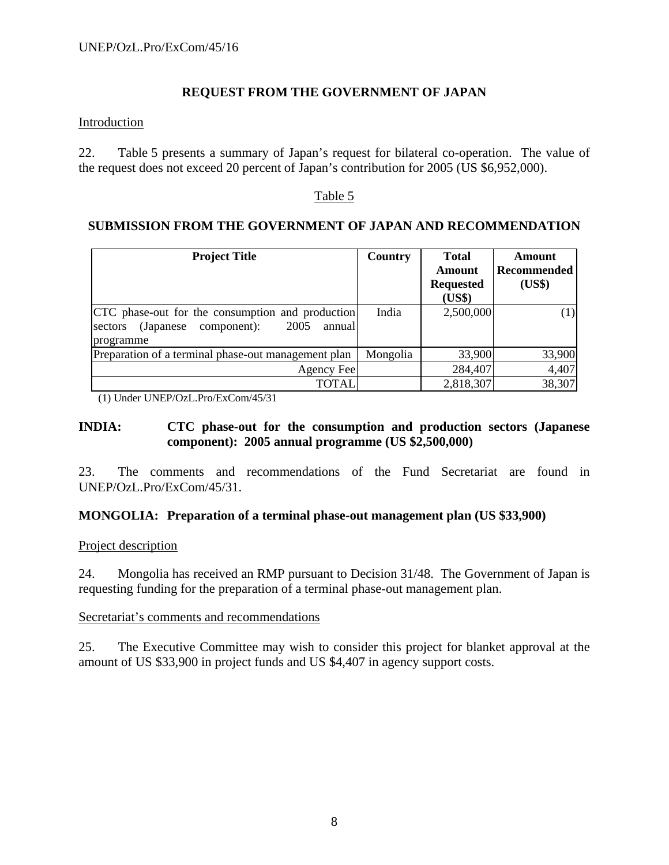## **REQUEST FROM THE GOVERNMENT OF JAPAN**

#### Introduction

22. Table 5 presents a summary of Japan's request for bilateral co-operation. The value of the request does not exceed 20 percent of Japan's contribution for 2005 (US \$6,952,000).

## Table 5

## **SUBMISSION FROM THE GOVERNMENT OF JAPAN AND RECOMMENDATION**

| <b>Project Title</b>                                                                                                    | <b>Country</b> | <b>Total</b><br>Amount<br><b>Requested</b><br>(US\$) | Amount<br><b>Recommended</b><br>(US\$) |
|-------------------------------------------------------------------------------------------------------------------------|----------------|------------------------------------------------------|----------------------------------------|
| CTC phase-out for the consumption and production<br>2005<br>(Japanese)<br>component):<br>annual<br>sectors<br>programme | India          | 2,500,000                                            |                                        |
| Preparation of a terminal phase-out management plan                                                                     | Mongolia       | 33,900                                               | 33,900                                 |
| Agency Fee                                                                                                              |                | 284,407                                              | 4,407                                  |
| TOTAL                                                                                                                   |                | 2,818,307                                            | 38,307                                 |

(1) Under UNEP/OzL.Pro/ExCom/45/31

## **INDIA: CTC phase-out for the consumption and production sectors (Japanese component): 2005 annual programme (US \$2,500,000)**

23. The comments and recommendations of the Fund Secretariat are found in UNEP/OzL.Pro/ExCom/45/31.

#### **MONGOLIA: Preparation of a terminal phase-out management plan (US \$33,900)**

#### Project description

24. Mongolia has received an RMP pursuant to Decision 31/48. The Government of Japan is requesting funding for the preparation of a terminal phase-out management plan.

#### Secretariat's comments and recommendations

25. The Executive Committee may wish to consider this project for blanket approval at the amount of US \$33,900 in project funds and US \$4,407 in agency support costs.